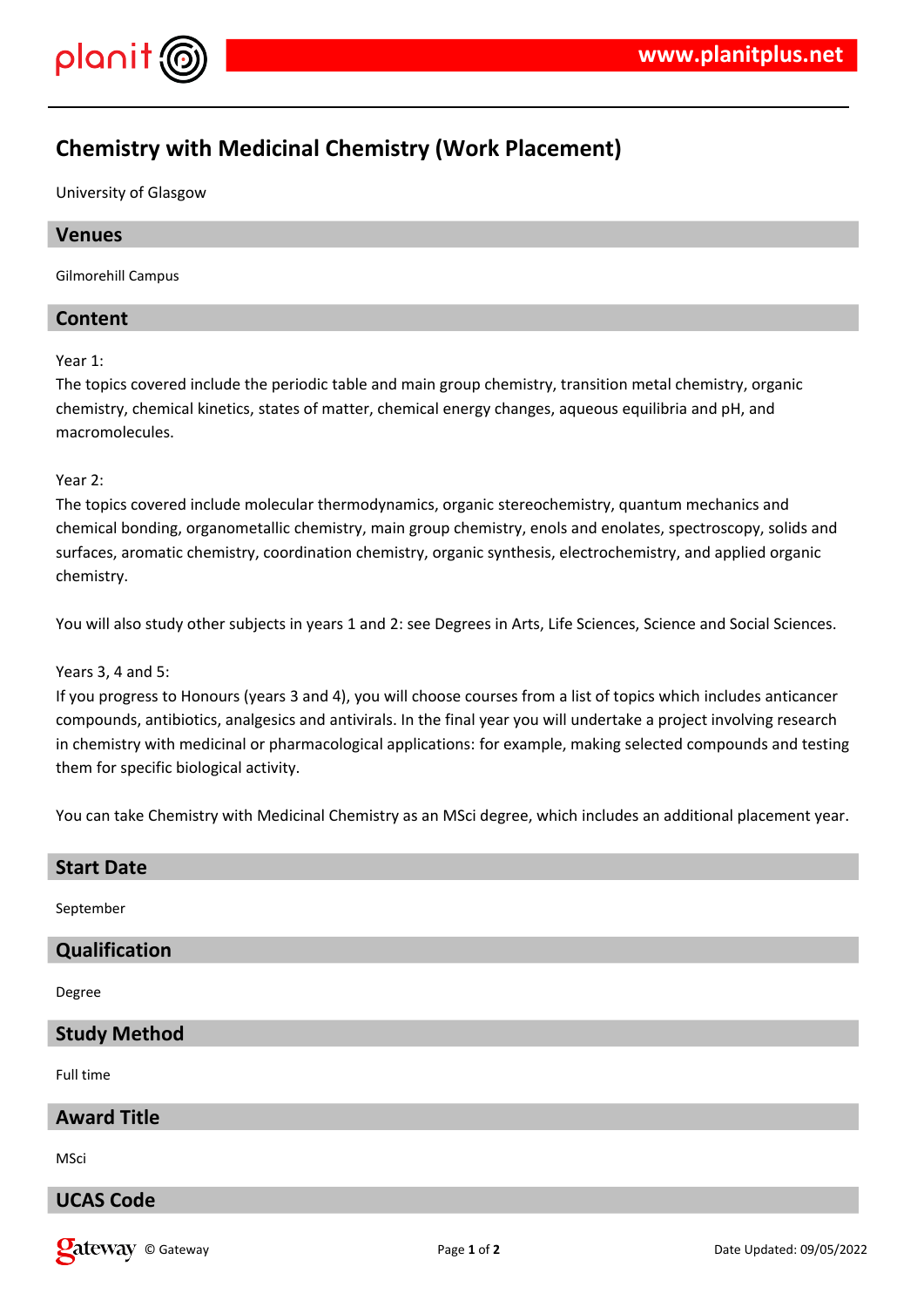

# **Chemistry with Medicinal Chemistry (Work Placement)**

University of Glasgow

# **Venues**

Gilmorehill Campus

# **Content**

Year 1:

The topics covered include the periodic table and main group chemistry, transition metal chemistry, organic chemistry, chemical kinetics, states of matter, chemical energy changes, aqueous equilibria and pH, and macromolecules.

#### Year 2:

The topics covered include molecular thermodynamics, organic stereochemistry, quantum mechanics and chemical bonding, organometallic chemistry, main group chemistry, enols and enolates, spectroscopy, solids and surfaces, aromatic chemistry, coordination chemistry, organic synthesis, electrochemistry, and applied organic chemistry.

You will also study other subjects in years 1 and 2: see Degrees in Arts, Life Sciences, Science and Social Sciences.

#### Years 3, 4 and 5:

If you progress to Honours (years 3 and 4), you will choose courses from a list of topics which includes anticancer compounds, antibiotics, analgesics and antivirals. In the final year you will undertake a project involving research in chemistry with medicinal or pharmacological applications: for example, making selected compounds and testing them for specific biological activity.

You can take Chemistry with Medicinal Chemistry as an MSci degree, which includes an additional placement year.

| <b>Start Date</b>    |
|----------------------|
| September            |
| <b>Qualification</b> |
| Degree               |
| <b>Study Method</b>  |
| Full time            |
| <b>Award Title</b>   |
| MSci                 |
| <b>UCAS Code</b>     |